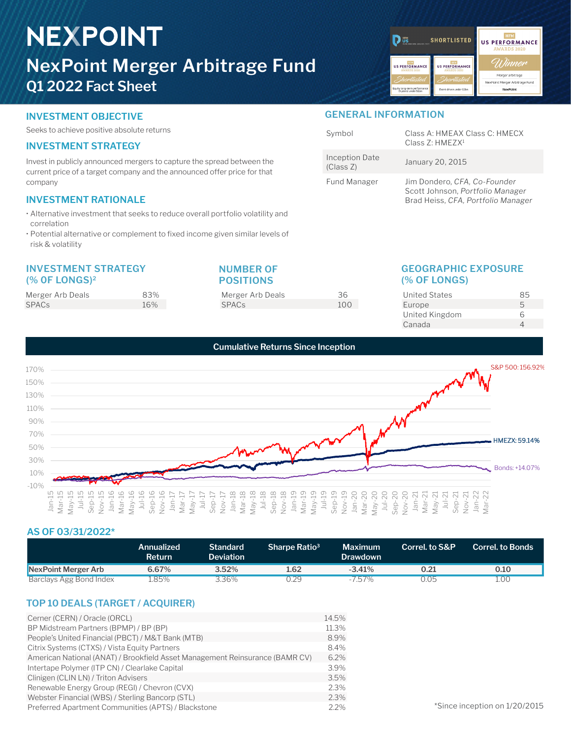# **NEXPOINT NexPoint Merger Arbitrage Fund Q1 2022 Fact Sheet**

| <b>HFM</b><br>ΰŝ<br>PERSORMANCE ANAROS 2021               | <b>SHORTLISTED</b>                                        | <b>HFM</b><br><b>US PERFORMANCE</b><br><b>AWARDS 2020</b> |
|-----------------------------------------------------------|-----------------------------------------------------------|-----------------------------------------------------------|
| <b>HEM</b><br><b>US PERFORMANCE</b><br><b>AWARDS 2020</b> | <b>HFM</b><br><b>US PERFORMANCE</b><br><b>AWARDS 2020</b> | Winner                                                    |
| Shortlisted                                               | Shortlisted                                               | Merger arbitrage<br>NexPoint Merger Arbitrage Fund        |
| Equity long-term performance<br>(5 years) under \$1bn     | Event-driven under \$1bn                                  | <b>NexPoint</b>                                           |
|                                                           |                                                           |                                                           |

Symbol Class A: HMEAX Class C: HMECX Class Z: HMEZX1

Fund Manager Jim Dondero, *CFA, Co-Founder*

The Priori Bate January 20, 2015<br>(Class Z)

**GENERAL INFORMATION**

Inception Date

# **INVESTMENT OBJECTIVE**

Seeks to achieve positive absolute returns

# **INVESTMENT STRATEGY**

Invest in publicly announced mergers to capture the spread between the current price of a target company and the announced offer price for that company

# **INVESTMENT RATIONALE**

- Alternative investment that seeks to reduce overall portfolio volatility and correlation
- Potential alternative or complement to fixed income given similar levels of risk & volatility

### **INVESTMENT STRATEGY (% 0F LONGS)2**

| Merger Arb Deals | 83% |
|------------------|-----|
| <b>SPACs</b>     | 16% |

# **NUMBER OF POSITIONS**

Merger Arb Deals 36 SPACs 100

# **GEOGRAPHIC EXPOSURE**

Scott Johnson, *Portfolio Manager* Brad Heiss, *CFA, Portfolio Manager*

# **(% OF LONGS)**

| <b>United States</b> | 85 |
|----------------------|----|
| Europe               | 5  |
| United Kingdom       | Б  |
| Canada               |    |
|                      |    |



# **AS OF 03/31/2022\***

|                         | <b>Annualized</b><br>Return | <b>Standard</b><br>Deviation | Sharpe Ratio <sup>3</sup> | <b>Maximum</b><br><b>Drawdown</b> | Correl. to S&P | <b>Correl</b> to Bonds |
|-------------------------|-----------------------------|------------------------------|---------------------------|-----------------------------------|----------------|------------------------|
| NexPoint Merger Arb     | 6.67%                       | $3.52\%$                     | 1.62                      | $-3.41%$                          | 0.21           | 0.10                   |
| Barclays Agg Bond Index | .85%                        | ~36%                         | 129                       | $-757\%$                          | 0.05           | .00                    |

# **TOP 10 DEALS (TARGET / ACQUIRER)**

| Cerner (CERN) / Oracle (ORCL)                                                | 14.5%   |
|------------------------------------------------------------------------------|---------|
| BP Midstream Partners (BPMP) / BP (BP)                                       | 11.3%   |
| People's United Financial (PBCT) / M&T Bank (MTB)                            | 8.9%    |
| Citrix Systems (CTXS) / Vista Equity Partners                                | 8.4%    |
| American National (ANAT) / Brookfield Asset Management Reinsurance (BAMR CV) | $6.2\%$ |
| Intertape Polymer (ITP CN) / Clearlake Capital                               | 3.9%    |
| Clinigen (CLIN LN) / Triton Advisers                                         | 3.5%    |
| Renewable Energy Group (REGI) / Chevron (CVX)                                | 2.3%    |
| Webster Financial (WBS) / Sterling Bancorp (STL)                             | 2.3%    |
| Preferred Apartment Communities (APTS) / Blackstone                          | 2.2%    |